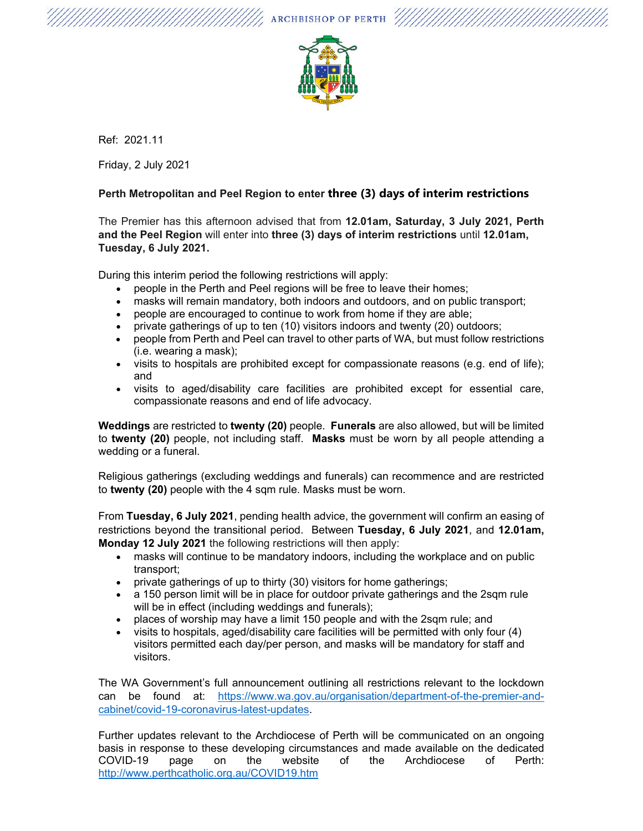

//// ARCHBISHOP OF PERTH

Ref: 2021.11

Friday, 2 July 2021

## **Perth Metropolitan and Peel Region to enter three (3) days of interim restrictions**

The Premier has this afternoon advised that from **12.01am, Saturday, 3 July 2021, Perth and the Peel Region** will enter into **three (3) days of interim restrictions** until **12.01am, Tuesday, 6 July 2021.** 

During this interim period the following restrictions will apply:

- people in the Perth and Peel regions will be free to leave their homes;
- masks will remain mandatory, both indoors and outdoors, and on public transport;
- people are encouraged to continue to work from home if they are able;
- private gatherings of up to ten (10) visitors indoors and twenty (20) outdoors;
- people from Perth and Peel can travel to other parts of WA, but must follow restrictions (i.e. wearing a mask);
- visits to hospitals are prohibited except for compassionate reasons (e.g. end of life); and
- visits to aged/disability care facilities are prohibited except for essential care, compassionate reasons and end of life advocacy.

**Weddings** are restricted to **twenty (20)** people. **Funerals** are also allowed, but will be limited to **twenty (20)** people, not including staff. **Masks** must be worn by all people attending a wedding or a funeral.

Religious gatherings (excluding weddings and funerals) can recommence and are restricted to **twenty (20)** people with the 4 sqm rule. Masks must be worn.

From **Tuesday, 6 July 2021**, pending health advice, the government will confirm an easing of restrictions beyond the transitional period. Between **Tuesday, 6 July 2021**, and **12.01am, Monday 12 July 2021** the following restrictions will then apply:

- masks will continue to be mandatory indoors, including the workplace and on public transport;
- private gatherings of up to thirty (30) visitors for home gatherings;
- a 150 person limit will be in place for outdoor private gatherings and the 2sqm rule will be in effect (including weddings and funerals);
- places of worship may have a limit 150 people and with the 2sqm rule; and
- visits to hospitals, aged/disability care facilities will be permitted with only four (4) visitors permitted each day/per person, and masks will be mandatory for staff and visitors.

The WA Government's full announcement outlining all restrictions relevant to the lockdown can be found at: https://www.wa.gov.au/organisation/department-of-the-premier-andcabinet/covid-19-coronavirus-latest-updates.

Further updates relevant to the Archdiocese of Perth will be communicated on an ongoing basis in response to these developing circumstances and made available on the dedicated COVID-19 page on the website of the Archdiocese of Perth: http://www.perthcatholic.org.au/COVID19.htm